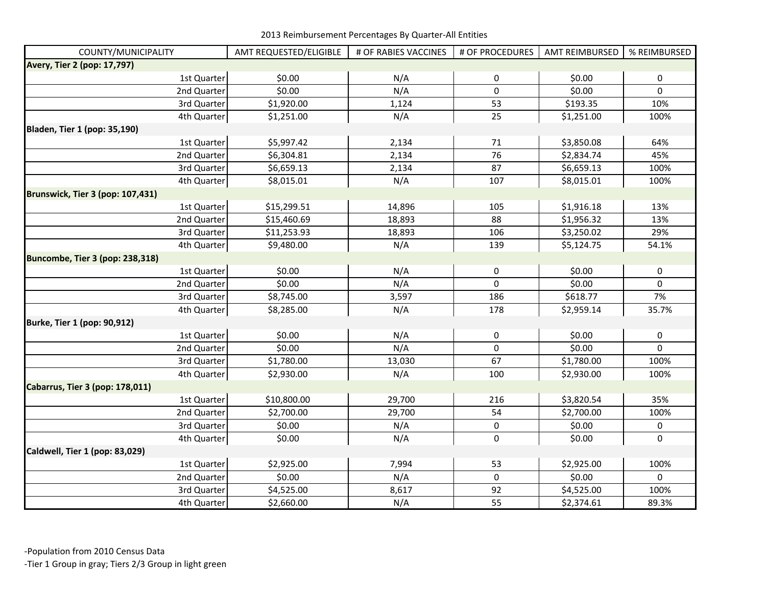| COUNTY/MUNICIPALITY                 | AMT REQUESTED/ELIGIBLE | # OF RABIES VACCINES | # OF PROCEDURES  | <b>AMT REIMBURSED</b> | % REIMBURSED   |
|-------------------------------------|------------------------|----------------------|------------------|-----------------------|----------------|
| Avery, Tier 2 (pop: 17,797)         |                        |                      |                  |                       |                |
| 1st Quarter                         | \$0.00                 | N/A                  | 0                | \$0.00                | 0              |
| 2nd Quarter                         | \$0.00                 | N/A                  | $\mathbf 0$      | \$0.00                | $\mathbf 0$    |
| 3rd Quarter                         | \$1,920.00             | 1,124                | 53               | \$193.35              | 10%            |
| 4th Quarter                         | \$1,251.00             | N/A                  | 25               | \$1,251.00            | 100%           |
| <b>Bladen, Tier 1 (pop: 35,190)</b> |                        |                      |                  |                       |                |
| 1st Quarter                         | \$5,997.42             | 2,134                | 71               | \$3,850.08            | 64%            |
| 2nd Quarter                         | \$6,304.81             | 2,134                | 76               | \$2,834.74            | 45%            |
| 3rd Quarter                         | \$6,659.13             | 2,134                | 87               | \$6,659.13            | 100%           |
| 4th Quarter                         | \$8,015.01             | N/A                  | 107              | \$8,015.01            | 100%           |
| Brunswick, Tier 3 (pop: 107,431)    |                        |                      |                  |                       |                |
| 1st Quarter                         | \$15,299.51            | 14,896               | 105              | \$1,916.18            | 13%            |
| 2nd Quarter                         | \$15,460.69            | 18,893               | 88               | \$1,956.32            | 13%            |
| 3rd Quarter                         | \$11,253.93            | 18,893               | 106              | \$3,250.02            | 29%            |
| 4th Quarter                         | \$9,480.00             | N/A                  | 139              | \$5,124.75            | 54.1%          |
| Buncombe, Tier 3 (pop: 238,318)     |                        |                      |                  |                       |                |
| 1st Quarter                         | \$0.00                 | N/A                  | $\pmb{0}$        | \$0.00                | $\pmb{0}$      |
| 2nd Quarter                         | \$0.00                 | N/A                  | 0                | \$0.00                | 0              |
| 3rd Quarter                         | \$8,745.00             | 3,597                | 186              | \$618.77              | 7%             |
| 4th Quarter                         | \$8,285.00             | N/A                  | 178              | \$2,959.14            | 35.7%          |
| Burke, Tier 1 (pop: 90,912)         |                        |                      |                  |                       |                |
| 1st Quarter                         | \$0.00                 | N/A                  | 0                | \$0.00                | $\pmb{0}$      |
| 2nd Quarter                         | \$0.00                 | N/A                  | $\mathbf 0$      | \$0.00                | $\overline{0}$ |
| 3rd Quarter                         | \$1,780.00             | 13,030               | 67               | \$1,780.00            | 100%           |
| 4th Quarter                         | \$2,930.00             | N/A                  | 100              | \$2,930.00            | 100%           |
| Cabarrus, Tier 3 (pop: 178,011)     |                        |                      |                  |                       |                |
| 1st Quarter                         | \$10,800.00            | 29,700               | 216              | \$3,820.54            | 35%            |
| 2nd Quarter                         | \$2,700.00             | 29,700               | 54               | \$2,700.00            | 100%           |
| 3rd Quarter                         | \$0.00                 | N/A                  | 0                | \$0.00                | 0              |
| 4th Quarter                         | \$0.00                 | N/A                  | $\pmb{0}$        | \$0.00                | $\mathbf 0$    |
| Caldwell, Tier 1 (pop: 83,029)      |                        |                      |                  |                       |                |
| 1st Quarter                         | \$2,925.00             | 7,994                | 53               | \$2,925.00            | 100%           |
| 2nd Quarter                         | \$0.00                 | N/A                  | $\boldsymbol{0}$ | \$0.00                | $\Omega$       |
| 3rd Quarter                         | \$4,525.00             | 8,617                | 92               | \$4,525.00            | 100%           |
| 4th Quarter                         | \$2,660.00             | N/A                  | 55               | \$2,374.61            | 89.3%          |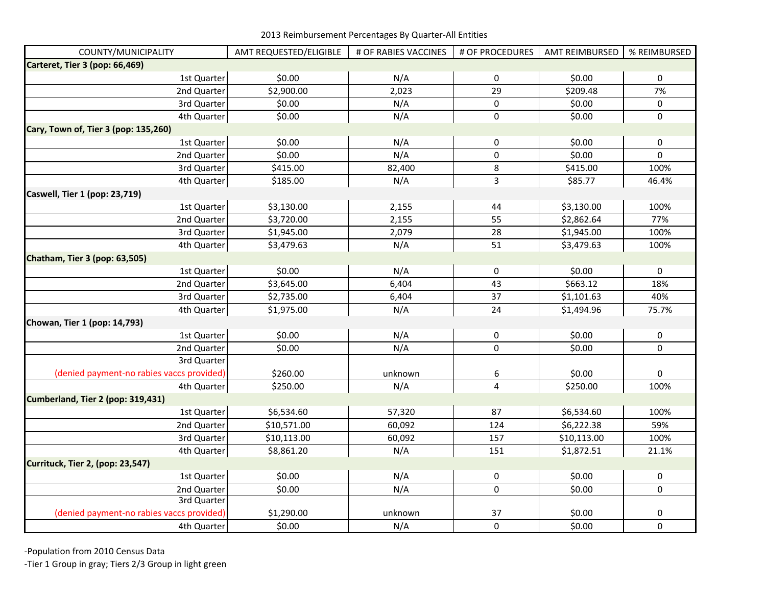| COUNTY/MUNICIPALITY                       | AMT REQUESTED/ELIGIBLE | # OF RABIES VACCINES | # OF PROCEDURES  | AMT REIMBURSED | % REIMBURSED |
|-------------------------------------------|------------------------|----------------------|------------------|----------------|--------------|
| Carteret, Tier 3 (pop: 66,469)            |                        |                      |                  |                |              |
| 1st Quarter                               | \$0.00                 | N/A                  | $\pmb{0}$        | \$0.00         | $\mathbf 0$  |
| 2nd Quarter                               | \$2,900.00             | 2,023                | 29               | \$209.48       | 7%           |
| 3rd Quarter                               | \$0.00                 | N/A                  | $\pmb{0}$        | \$0.00         | $\pmb{0}$    |
| 4th Quarter                               | \$0.00                 | N/A                  | $\pmb{0}$        | \$0.00         | $\mathbf 0$  |
| Cary, Town of, Tier 3 (pop: 135,260)      |                        |                      |                  |                |              |
| 1st Quarter                               | \$0.00                 | N/A                  | $\pmb{0}$        | \$0.00         | $\pmb{0}$    |
| 2nd Quarter                               | \$0.00                 | N/A                  | $\mathbf 0$      | \$0.00         | $\mathbf 0$  |
| 3rd Quarter                               | \$415.00               | 82,400               | 8                | \$415.00       | 100%         |
| 4th Quarter                               | \$185.00               | N/A                  | 3                | \$85.77        | 46.4%        |
| Caswell, Tier 1 (pop: 23,719)             |                        |                      |                  |                |              |
| 1st Quarter                               | \$3,130.00             | 2,155                | 44               | \$3,130.00     | 100%         |
| 2nd Quarter                               | \$3,720.00             | 2,155                | 55               | \$2,862.64     | 77%          |
| 3rd Quarter                               | \$1,945.00             | 2,079                | 28               | \$1,945.00     | 100%         |
| 4th Quarter                               | \$3,479.63             | N/A                  | 51               | \$3,479.63     | 100%         |
| Chatham, Tier 3 (pop: 63,505)             |                        |                      |                  |                |              |
| 1st Quarter                               | \$0.00                 | N/A                  | $\pmb{0}$        | \$0.00         | $\pmb{0}$    |
| 2nd Quarter                               | \$3,645.00             | 6,404                | 43               | \$663.12       | 18%          |
| 3rd Quarter                               | \$2,735.00             | 6,404                | 37               | \$1,101.63     | 40%          |
| 4th Quarter                               | \$1,975.00             | N/A                  | 24               | \$1,494.96     | 75.7%        |
| Chowan, Tier 1 (pop: 14,793)              |                        |                      |                  |                |              |
| 1st Quarter                               | \$0.00                 | N/A                  | 0                | \$0.00         | $\pmb{0}$    |
| 2nd Quarter                               | \$0.00                 | N/A                  | 0                | \$0.00         | 0            |
| 3rd Quarter                               |                        |                      |                  |                |              |
| (denied payment-no rabies vaccs provided) | \$260.00               | unknown              | 6                | \$0.00         | 0            |
| 4th Quarter                               | \$250.00               | N/A                  | 4                | \$250.00       | 100%         |
| Cumberland, Tier 2 (pop: 319,431)         |                        |                      |                  |                |              |
| 1st Quarter                               | \$6,534.60             | 57,320               | 87               | \$6,534.60     | 100%         |
| 2nd Quarter                               | \$10,571.00            | 60,092               | 124              | \$6,222.38     | 59%          |
| 3rd Quarter                               | \$10,113.00            | 60,092               | 157              | \$10,113.00    | 100%         |
| 4th Quarter                               | \$8,861.20             | N/A                  | 151              | \$1,872.51     | 21.1%        |
| Currituck, Tier 2, (pop: 23,547)          |                        |                      |                  |                |              |
| 1st Quarter                               | \$0.00                 | N/A                  | $\boldsymbol{0}$ | \$0.00         | $\pmb{0}$    |
| 2nd Quarter                               | \$0.00                 | N/A                  | $\pmb{0}$        | \$0.00         | $\pmb{0}$    |
| 3rd Quarter                               |                        |                      |                  |                |              |
| (denied payment-no rabies vaccs provided) | \$1,290.00             | unknown              | 37               | \$0.00         | 0            |
| 4th Quarter                               | \$0.00                 | N/A                  | $\mathbf 0$      | \$0.00         | $\mathbf 0$  |

-Population from 2010 Census Data

-Tier 1 Group in gray; Tiers 2/3 Group in light green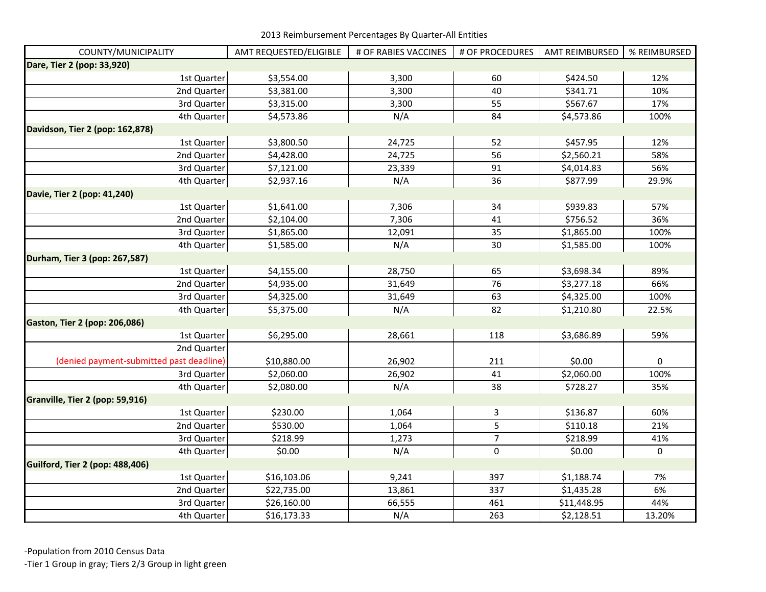| COUNTY/MUNICIPALITY                      | AMT REQUESTED/ELIGIBLE | # OF RABIES VACCINES | # OF PROCEDURES | <b>AMT REIMBURSED</b> | % REIMBURSED |
|------------------------------------------|------------------------|----------------------|-----------------|-----------------------|--------------|
| Dare, Tier 2 (pop: 33,920)               |                        |                      |                 |                       |              |
| 1st Quarter                              | \$3,554.00             | 3,300                | 60              | \$424.50              | 12%          |
| 2nd Quarter                              | \$3,381.00             | 3,300                | 40              | \$341.71              | 10%          |
| 3rd Quarter                              | \$3,315.00             | 3,300                | 55              | \$567.67              | 17%          |
| 4th Quarter                              | \$4,573.86             | N/A                  | 84              | \$4,573.86            | 100%         |
| Davidson, Tier 2 (pop: 162,878)          |                        |                      |                 |                       |              |
| 1st Quarter                              | \$3,800.50             | 24,725               | 52              | \$457.95              | 12%          |
| 2nd Quarter                              | \$4,428.00             | 24,725               | 56              | \$2,560.21            | 58%          |
| 3rd Quarter                              | \$7,121.00             | 23,339               | 91              | \$4,014.83            | 56%          |
| 4th Quarter                              | \$2,937.16             | N/A                  | 36              | \$877.99              | 29.9%        |
| Davie, Tier 2 (pop: 41,240)              |                        |                      |                 |                       |              |
| 1st Quarter                              | \$1,641.00             | 7,306                | 34              | \$939.83              | 57%          |
| 2nd Quarter                              | \$2,104.00             | 7,306                | 41              | \$756.52              | 36%          |
| 3rd Quarter                              | \$1,865.00             | 12,091               | 35              | \$1,865.00            | 100%         |
| 4th Quarter                              | \$1,585.00             | N/A                  | $30\,$          | \$1,585.00            | 100%         |
| Durham, Tier 3 (pop: 267,587)            |                        |                      |                 |                       |              |
| 1st Quarter                              | \$4,155.00             | 28,750               | 65              | \$3,698.34            | 89%          |
| 2nd Quarter                              | \$4,935.00             | 31,649               | 76              | \$3,277.18            | 66%          |
| 3rd Quarter                              | \$4,325.00             | 31,649               | 63              | \$4,325.00            | 100%         |
| 4th Quarter                              | \$5,375.00             | N/A                  | 82              | \$1,210.80            | 22.5%        |
| <b>Gaston, Tier 2 (pop: 206,086)</b>     |                        |                      |                 |                       |              |
| 1st Quarter                              | \$6,295.00             | 28,661               | 118             | \$3,686.89            | 59%          |
| 2nd Quarter                              |                        |                      |                 |                       |              |
| (denied payment-submitted past deadline) | \$10,880.00            | 26,902               | 211             | \$0.00                | 0            |
| 3rd Quarter                              | \$2,060.00             | 26,902               | 41              | \$2,060.00            | 100%         |
| 4th Quarter                              | \$2,080.00             | N/A                  | 38              | \$728.27              | 35%          |
| Granville, Tier 2 (pop: 59,916)          |                        |                      |                 |                       |              |
| 1st Quarter                              | \$230.00               | 1,064                | 3               | \$136.87              | 60%          |
| 2nd Quarter                              | \$530.00               | 1,064                | 5               | \$110.18              | 21%          |
| 3rd Quarter                              | \$218.99               | 1,273                | $\overline{7}$  | \$218.99              | 41%          |
| 4th Quarter                              | \$0.00                 | N/A                  | $\mathbf 0$     | \$0.00                | $\mathbf 0$  |
| Guilford, Tier 2 (pop: 488,406)          |                        |                      |                 |                       |              |
| 1st Quarter                              | \$16,103.06            | 9,241                | 397             | \$1,188.74            | 7%           |
| 2nd Quarter                              | \$22,735.00            | 13,861               | 337             | \$1,435.28            | 6%           |
| 3rd Quarter                              | \$26,160.00            | 66,555               | 461             | \$11,448.95           | 44%          |
| 4th Quarter                              | \$16,173.33            | N/A                  | 263             | \$2,128.51            | 13.20%       |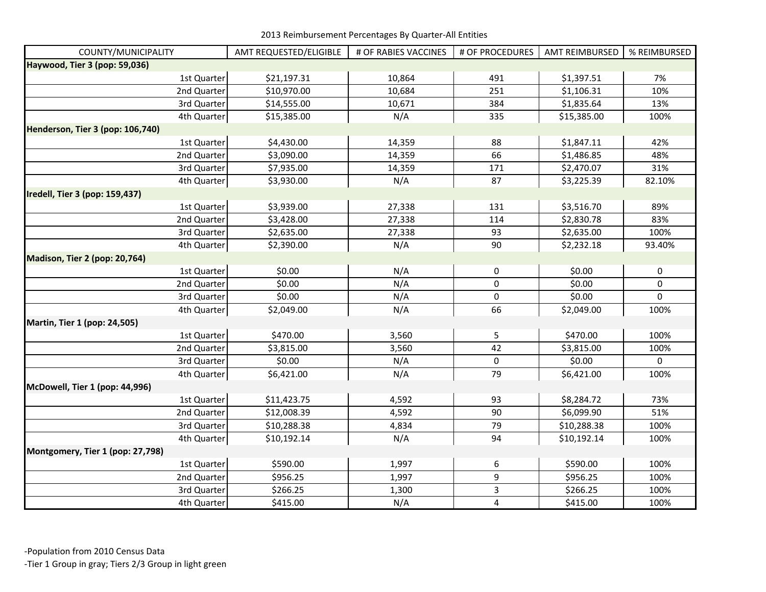| COUNTY/MUNICIPALITY              | AMT REQUESTED/ELIGIBLE | # OF RABIES VACCINES | # OF PROCEDURES | <b>AMT REIMBURSED</b> | % REIMBURSED |
|----------------------------------|------------------------|----------------------|-----------------|-----------------------|--------------|
| Haywood, Tier 3 (pop: 59,036)    |                        |                      |                 |                       |              |
| 1st Quarter                      | \$21,197.31            | 10,864               | 491             | \$1,397.51            | 7%           |
| 2nd Quarter                      | \$10,970.00            | 10,684               | 251             | \$1,106.31            | 10%          |
| 3rd Quarter                      | \$14,555.00            | 10,671               | 384             | \$1,835.64            | 13%          |
| 4th Quarter                      | \$15,385.00            | N/A                  | 335             | \$15,385.00           | 100%         |
| Henderson, Tier 3 (pop: 106,740) |                        |                      |                 |                       |              |
| 1st Quarter                      | \$4,430.00             | 14,359               | 88              | \$1,847.11            | 42%          |
| 2nd Quarter                      | \$3,090.00             | 14,359               | 66              | \$1,486.85            | 48%          |
| 3rd Quarter                      | \$7,935.00             | 14,359               | 171             | \$2,470.07            | 31%          |
| 4th Quarter                      | \$3,930.00             | N/A                  | 87              | \$3,225.39            | 82.10%       |
| Iredell, Tier 3 (pop: 159,437)   |                        |                      |                 |                       |              |
| 1st Quarter                      | \$3,939.00             | 27,338               | 131             | \$3,516.70            | 89%          |
| 2nd Quarter                      | \$3,428.00             | 27,338               | 114             | \$2,830.78            | 83%          |
| 3rd Quarter                      | \$2,635.00             | 27,338               | 93              | \$2,635.00            | 100%         |
| 4th Quarter                      | \$2,390.00             | N/A                  | 90              | \$2,232.18            | 93.40%       |
| Madison, Tier 2 (pop: 20,764)    |                        |                      |                 |                       |              |
| 1st Quarter                      | \$0.00                 | N/A                  | 0               | \$0.00                | 0            |
| 2nd Quarter                      | \$0.00                 | N/A                  | $\pmb{0}$       | \$0.00                | 0            |
| 3rd Quarter                      | \$0.00                 | N/A                  | $\pmb{0}$       | \$0.00                | $\mathbf 0$  |
| 4th Quarter                      | \$2,049.00             | N/A                  | 66              | \$2,049.00            | 100%         |
| Martin, Tier 1 (pop: 24,505)     |                        |                      |                 |                       |              |
| 1st Quarter                      | \$470.00               | 3,560                | 5               | \$470.00              | 100%         |
| 2nd Quarter                      | \$3,815.00             | 3,560                | 42              | \$3,815.00            | 100%         |
| 3rd Quarter                      | \$0.00                 | N/A                  | $\pmb{0}$       | \$0.00                | 0            |
| 4th Quarter                      | \$6,421.00             | N/A                  | 79              | \$6,421.00            | 100%         |
| McDowell, Tier 1 (pop: 44,996)   |                        |                      |                 |                       |              |
| 1st Quarter                      | \$11,423.75            | 4,592                | 93              | \$8,284.72            | 73%          |
| 2nd Quarter                      | \$12,008.39            | 4,592                | 90              | \$6,099.90            | 51%          |
| 3rd Quarter                      | \$10,288.38            | 4,834                | 79              | \$10,288.38           | 100%         |
| 4th Quarter                      | \$10,192.14            | N/A                  | 94              | \$10,192.14           | 100%         |
| Montgomery, Tier 1 (pop: 27,798) |                        |                      |                 |                       |              |
| 1st Quarter                      | \$590.00               | 1,997                | 6               | \$590.00              | 100%         |
| 2nd Quarter                      | \$956.25               | 1,997                | 9               | \$956.25              | 100%         |
| 3rd Quarter                      | \$266.25               | 1,300                | 3               | \$266.25              | 100%         |
| 4th Quarter                      | \$415.00               | N/A                  | $\pmb{4}$       | \$415.00              | 100%         |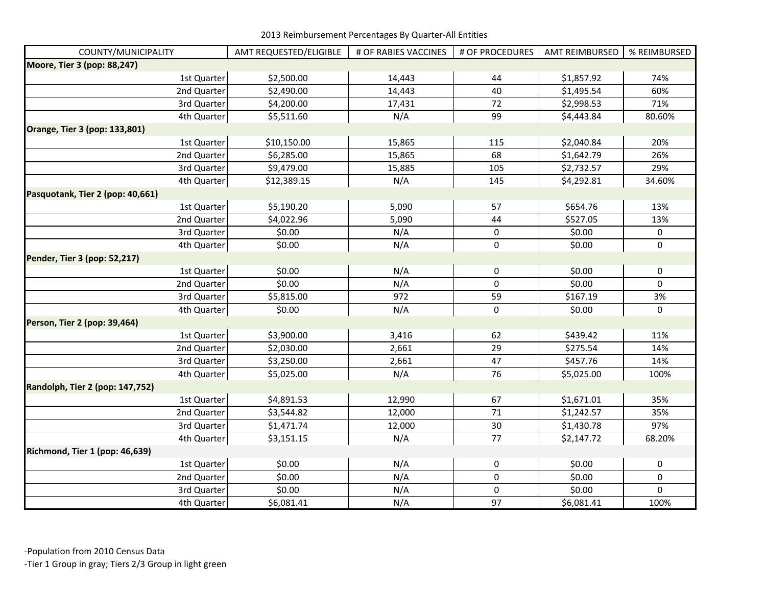| COUNTY/MUNICIPALITY              | AMT REQUESTED/ELIGIBLE | # OF RABIES VACCINES | # OF PROCEDURES | <b>AMT REIMBURSED</b> | % REIMBURSED     |
|----------------------------------|------------------------|----------------------|-----------------|-----------------------|------------------|
| Moore, Tier 3 (pop: 88,247)      |                        |                      |                 |                       |                  |
| 1st Quarter                      | \$2,500.00             | 14,443               | 44              | \$1,857.92            | 74%              |
| 2nd Quarter                      | \$2,490.00             | 14,443               | 40              | \$1,495.54            | 60%              |
| 3rd Quarter                      | \$4,200.00             | 17,431               | 72              | \$2,998.53            | 71%              |
| 4th Quarter                      | \$5,511.60             | N/A                  | 99              | \$4,443.84            | 80.60%           |
| Orange, Tier 3 (pop: 133,801)    |                        |                      |                 |                       |                  |
| 1st Quarter                      | \$10,150.00            | 15,865               | 115             | \$2,040.84            | 20%              |
| 2nd Quarter                      | \$6,285.00             | 15,865               | 68              | \$1,642.79            | 26%              |
| 3rd Quarter                      | \$9,479.00             | 15,885               | 105             | \$2,732.57            | 29%              |
| 4th Quarter                      | \$12,389.15            | N/A                  | 145             | \$4,292.81            | 34.60%           |
| Pasquotank, Tier 2 (pop: 40,661) |                        |                      |                 |                       |                  |
| 1st Quarter                      | \$5,190.20             | 5,090                | 57              | \$654.76              | 13%              |
| 2nd Quarter                      | \$4,022.96             | 5,090                | 44              | \$527.05              | 13%              |
| 3rd Quarter                      | \$0.00                 | N/A                  | $\pmb{0}$       | \$0.00                | $\boldsymbol{0}$ |
| 4th Quarter                      | \$0.00                 | N/A                  | $\pmb{0}$       | \$0.00                | $\pmb{0}$        |
| Pender, Tier 3 (pop: 52,217)     |                        |                      |                 |                       |                  |
| 1st Quarter                      | \$0.00                 | N/A                  | $\pmb{0}$       | \$0.00                | $\pmb{0}$        |
| 2nd Quarter                      | \$0.00                 | N/A                  | 0               | \$0.00                | $\mathbf 0$      |
| 3rd Quarter                      | \$5,815.00             | 972                  | 59              | \$167.19              | 3%               |
| 4th Quarter                      | \$0.00                 | N/A                  | $\pmb{0}$       | \$0.00                | $\mathbf 0$      |
| Person, Tier 2 (pop: 39,464)     |                        |                      |                 |                       |                  |
| 1st Quarter                      | \$3,900.00             | 3,416                | 62              | \$439.42              | 11%              |
| 2nd Quarter                      | \$2,030.00             | 2,661                | 29              | \$275.54              | 14%              |
| 3rd Quarter                      | \$3,250.00             | 2,661                | 47              | \$457.76              | 14%              |
| 4th Quarter                      | \$5,025.00             | N/A                  | 76              | \$5,025.00            | 100%             |
| Randolph, Tier 2 (pop: 147,752)  |                        |                      |                 |                       |                  |
| 1st Quarter                      | \$4,891.53             | 12,990               | 67              | \$1,671.01            | 35%              |
| 2nd Quarter                      | \$3,544.82             | 12,000               | 71              | \$1,242.57            | 35%              |
| 3rd Quarter                      | \$1,471.74             | 12,000               | $30\,$          | \$1,430.78            | 97%              |
| 4th Quarter                      | \$3,151.15             | N/A                  | 77              | \$2,147.72            | 68.20%           |
| Richmond, Tier 1 (pop: 46,639)   |                        |                      |                 |                       |                  |
| 1st Quarter                      | \$0.00                 | N/A                  | 0               | \$0.00                | 0                |
| 2nd Quarter                      | \$0.00                 | N/A                  | $\pmb{0}$       | \$0.00                | $\pmb{0}$        |
| 3rd Quarter                      | \$0.00                 | N/A                  | $\pmb{0}$       | \$0.00                | $\mathbf 0$      |
| 4th Quarter                      | \$6,081.41             | N/A                  | 97              | \$6,081.41            | 100%             |